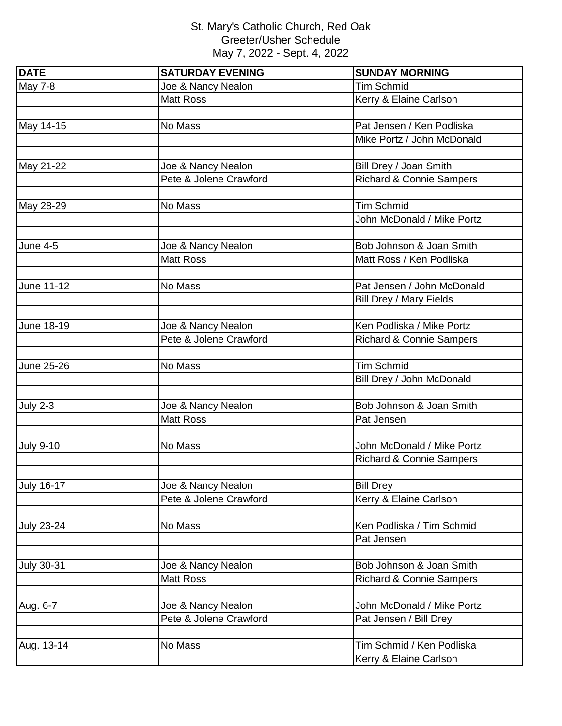## St. Mary's Catholic Church, Red Oak Greeter/Usher Schedule May 7, 2022 - Sept. 4, 2022

| <b>DATE</b>       | <b>SATURDAY EVENING</b> | <b>SUNDAY MORNING</b>               |
|-------------------|-------------------------|-------------------------------------|
| <b>May 7-8</b>    | Joe & Nancy Nealon      | <b>Tim Schmid</b>                   |
|                   | <b>Matt Ross</b>        | Kerry & Elaine Carlson              |
|                   |                         |                                     |
| May 14-15         | No Mass                 | Pat Jensen / Ken Podliska           |
|                   |                         | Mike Portz / John McDonald          |
|                   |                         |                                     |
| May 21-22         | Joe & Nancy Nealon      | Bill Drey / Joan Smith              |
|                   | Pete & Jolene Crawford  | <b>Richard &amp; Connie Sampers</b> |
|                   |                         |                                     |
| May 28-29         | No Mass                 | <b>Tim Schmid</b>                   |
|                   |                         | John McDonald / Mike Portz          |
|                   |                         |                                     |
| <b>June 4-5</b>   | Joe & Nancy Nealon      | Bob Johnson & Joan Smith            |
|                   | <b>Matt Ross</b>        | Matt Ross / Ken Podliska            |
|                   |                         |                                     |
| June 11-12        | No Mass                 | Pat Jensen / John McDonald          |
|                   |                         | Bill Drey / Mary Fields             |
|                   |                         |                                     |
| June 18-19        | Joe & Nancy Nealon      | Ken Podliska / Mike Portz           |
|                   | Pete & Jolene Crawford  | <b>Richard &amp; Connie Sampers</b> |
|                   |                         |                                     |
| June 25-26        | No Mass                 | <b>Tim Schmid</b>                   |
|                   |                         | Bill Drey / John McDonald           |
|                   |                         |                                     |
| <b>July 2-3</b>   | Joe & Nancy Nealon      | Bob Johnson & Joan Smith            |
|                   | <b>Matt Ross</b>        | Pat Jensen                          |
|                   |                         |                                     |
| <b>July 9-10</b>  | No Mass                 | John McDonald / Mike Portz          |
|                   |                         | <b>Richard &amp; Connie Sampers</b> |
|                   |                         |                                     |
| <b>July 16-17</b> | Joe & Nancy Nealon      | <b>Bill Drey</b>                    |
|                   | Pete & Jolene Crawford  | Kerry & Elaine Carlson              |
|                   |                         |                                     |
| <b>July 23-24</b> | No Mass                 | Ken Podliska / Tim Schmid           |
|                   |                         | Pat Jensen                          |
|                   |                         |                                     |
| <b>July 30-31</b> | Joe & Nancy Nealon      | Bob Johnson & Joan Smith            |
|                   | <b>Matt Ross</b>        | <b>Richard &amp; Connie Sampers</b> |
|                   |                         |                                     |
| Aug. 6-7          | Joe & Nancy Nealon      | John McDonald / Mike Portz          |
|                   | Pete & Jolene Crawford  | Pat Jensen / Bill Drey              |
|                   |                         |                                     |
| Aug. 13-14        | No Mass                 | Tim Schmid / Ken Podliska           |
|                   |                         | Kerry & Elaine Carlson              |